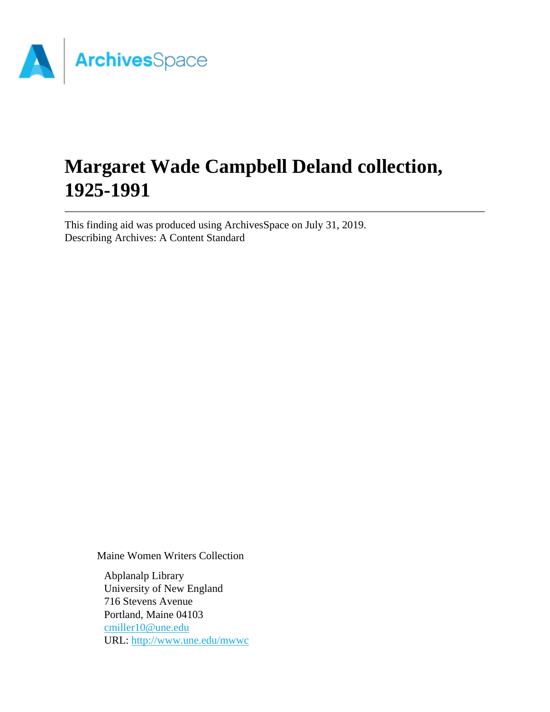

# **Margaret Wade Campbell Deland collection, 1925-1991**

This finding aid was produced using ArchivesSpace on July 31, 2019. Describing Archives: A Content Standard

Maine Women Writers Collection

Abplanalp Library University of New England 716 Stevens Avenue Portland, Maine 04103 [cmiller10@une.edu](mailto:cmiller10@une.edu) URL:<http://www.une.edu/mwwc>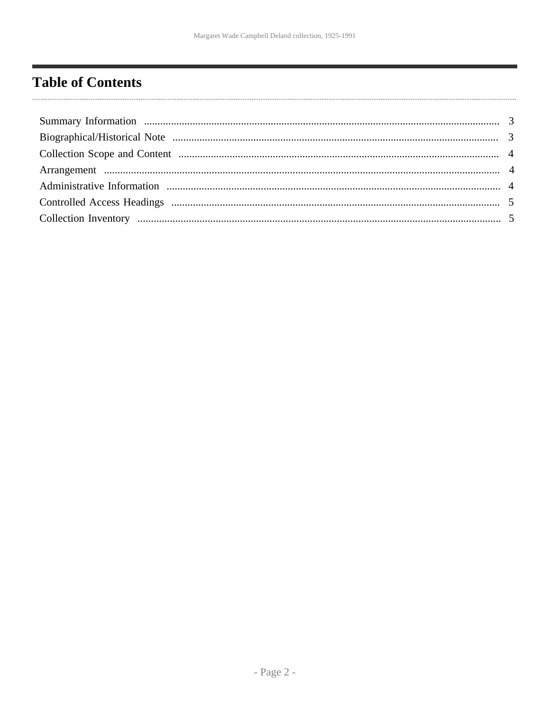# <span id="page-1-0"></span>**Table of Contents**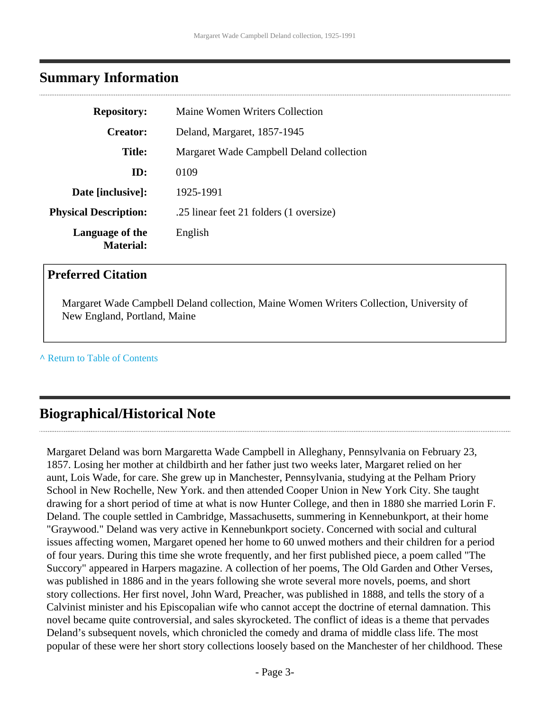## <span id="page-2-0"></span>**Summary Information**

| <b>Repository:</b>                  | Maine Women Writers Collection           |  |  |
|-------------------------------------|------------------------------------------|--|--|
| <b>Creator:</b>                     | Deland, Margaret, 1857-1945              |  |  |
| <b>Title:</b>                       | Margaret Wade Campbell Deland collection |  |  |
| ID:                                 | 0109                                     |  |  |
| Date [inclusive]:                   | 1925-1991                                |  |  |
| <b>Physical Description:</b>        | .25 linear feet 21 folders (1 oversize)  |  |  |
| Language of the<br><b>Material:</b> | English                                  |  |  |

#### **Preferred Citation**

Margaret Wade Campbell Deland collection, Maine Women Writers Collection, University of New England, Portland, Maine

**^** [Return to Table of Contents](#page-1-0)

# <span id="page-2-1"></span>**Biographical/Historical Note**

Margaret Deland was born Margaretta Wade Campbell in Alleghany, Pennsylvania on February 23, 1857. Losing her mother at childbirth and her father just two weeks later, Margaret relied on her aunt, Lois Wade, for care. She grew up in Manchester, Pennsylvania, studying at the Pelham Priory School in New Rochelle, New York. and then attended Cooper Union in New York City. She taught drawing for a short period of time at what is now Hunter College, and then in 1880 she married Lorin F. Deland. The couple settled in Cambridge, Massachusetts, summering in Kennebunkport, at their home "Graywood." Deland was very active in Kennebunkport society. Concerned with social and cultural issues affecting women, Margaret opened her home to 60 unwed mothers and their children for a period of four years. During this time she wrote frequently, and her first published piece, a poem called "The Succory" appeared in Harpers magazine. A collection of her poems, The Old Garden and Other Verses, was published in 1886 and in the years following she wrote several more novels, poems, and short story collections. Her first novel, John Ward, Preacher, was published in 1888, and tells the story of a Calvinist minister and his Episcopalian wife who cannot accept the doctrine of eternal damnation. This novel became quite controversial, and sales skyrocketed. The conflict of ideas is a theme that pervades Deland's subsequent novels, which chronicled the comedy and drama of middle class life. The most popular of these were her short story collections loosely based on the Manchester of her childhood. These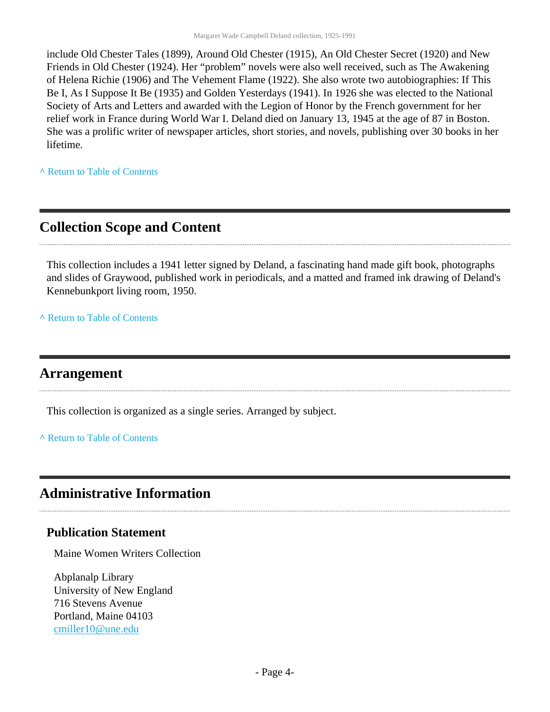include Old Chester Tales (1899), Around Old Chester (1915), An Old Chester Secret (1920) and New Friends in Old Chester (1924). Her "problem" novels were also well received, such as The Awakening of Helena Richie (1906) and The Vehement Flame (1922). She also wrote two autobiographies: If This Be I, As I Suppose It Be (1935) and Golden Yesterdays (1941). In 1926 she was elected to the National Society of Arts and Letters and awarded with the Legion of Honor by the French government for her relief work in France during World War I. Deland died on January 13, 1945 at the age of 87 in Boston. She was a prolific writer of newspaper articles, short stories, and novels, publishing over 30 books in her lifetime.

**^** [Return to Table of Contents](#page-1-0)

## <span id="page-3-0"></span>**Collection Scope and Content**

This collection includes a 1941 letter signed by Deland, a fascinating hand made gift book, photographs and slides of Graywood, published work in periodicals, and a matted and framed ink drawing of Deland's Kennebunkport living room, 1950.

**^** [Return to Table of Contents](#page-1-0)

## <span id="page-3-1"></span>**Arrangement**

This collection is organized as a single series. Arranged by subject.

**^** [Return to Table of Contents](#page-1-0)

## <span id="page-3-2"></span>**Administrative Information**

#### **Publication Statement**

Maine Women Writers Collection

Abplanalp Library University of New England 716 Stevens Avenue Portland, Maine 04103 [cmiller10@une.edu](mailto:cmiller10@une.edu)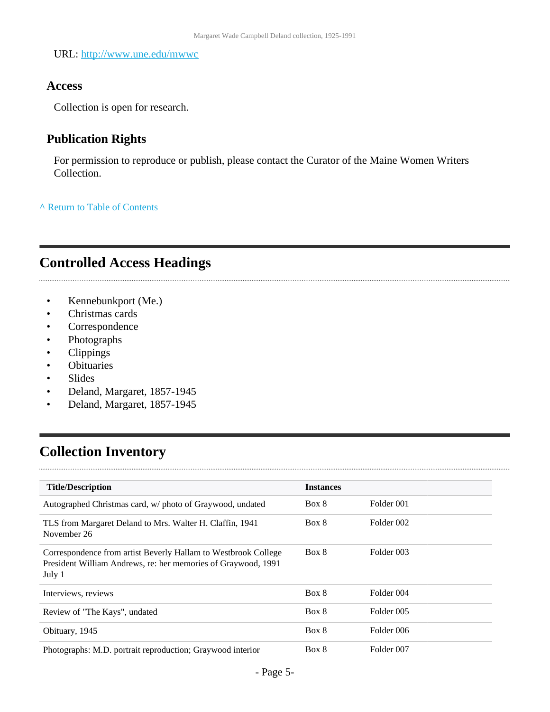URL:<http://www.une.edu/mwwc>

#### **Access**

Collection is open for research.

### **Publication Rights**

For permission to reproduce or publish, please contact the Curator of the Maine Women Writers Collection.

**^** [Return to Table of Contents](#page-1-0)

# <span id="page-4-0"></span>**Controlled Access Headings**

- Kennebunkport (Me.)
- Christmas cards
- Correspondence
- Photographs
- Clippings
- Obituaries
- Slides

 $\cdots$ 

- Deland, Margaret, 1857-1945
- Deland, Margaret, 1857-1945

# <span id="page-4-1"></span>**Collection Inventory**

| <b>Title/Description</b>                                                                                                                  | <b>Instances</b> |            |
|-------------------------------------------------------------------------------------------------------------------------------------------|------------------|------------|
| Autographed Christmas card, w/ photo of Graywood, undated                                                                                 | Box 8            | Folder 001 |
| TLS from Margaret Deland to Mrs. Walter H. Claffin, 1941<br>November 26                                                                   | Box 8            | Folder 002 |
| Correspondence from artist Beverly Hallam to Westbrook College<br>President William Andrews, re: her memories of Graywood, 1991<br>July 1 | Box 8            | Folder 003 |
| Interviews, reviews                                                                                                                       | Box 8            | Folder 004 |
| Review of "The Kays", undated                                                                                                             | Box 8            | Folder 005 |
| Obituary, 1945                                                                                                                            | Box 8            | Folder 006 |
| Photographs: M.D. portrait reproduction; Graywood interior                                                                                | Box 8            | Folder 007 |